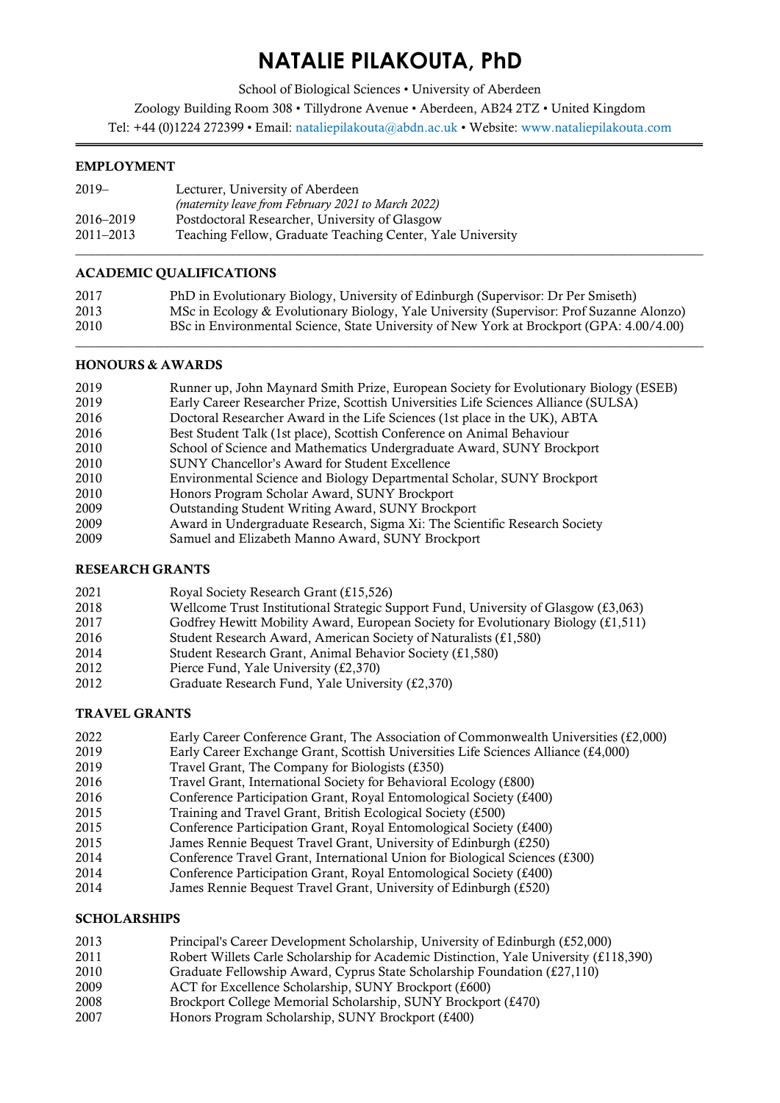# **NATALIE PILAKOUTA, PhD**

School of Biological Sciences • University of Aberdeen

Zoology Building Room 308 • Tillydrone Avenue • Aberdeen, AB24 2TZ • United Kingdom Tel: +44 (0)1224 272399 • Email: nataliepilakouta@abdn.ac.uk • Website: [www.nataliepilakouta.com](http://www.nataliepilakouta.com/)

# EMPLOYMENT

| $2019-$       | Lecturer, University of Aberdeen                           |
|---------------|------------------------------------------------------------|
|               | (maternity leave from February 2021 to March 2022)         |
| 2016–2019     | Postdoctoral Researcher, University of Glasgow             |
| $2011 - 2013$ | Teaching Fellow, Graduate Teaching Center, Yale University |
|               |                                                            |

# ACADEMIC QUALIFICATIONS

| 2017 | PhD in Evolutionary Biology, University of Edinburgh (Supervisor: Dr Per Smiseth)        |
|------|------------------------------------------------------------------------------------------|
| 2013 | MSc in Ecology & Evolutionary Biology, Yale University (Supervisor: Prof Suzanne Alonzo) |
| 2010 | BSc in Environmental Science, State University of New York at Brockport (GPA: 4.00/4.00) |

\_\_\_\_\_\_\_\_\_\_\_\_\_\_\_\_\_\_\_\_\_\_\_\_\_\_\_\_\_\_\_\_\_\_\_\_\_\_\_\_\_\_\_\_\_\_\_\_\_\_\_\_\_\_\_\_\_\_\_\_\_\_\_\_\_\_\_\_\_\_\_\_\_\_\_\_\_\_\_\_\_\_\_\_\_\_\_\_\_\_\_\_\_\_\_\_

# HONOURS & AWARDS

| 2019 |  |  | Runner up, John Maynard Smith Prize, European Society for Evolutionary Biology (ESEB) |  |
|------|--|--|---------------------------------------------------------------------------------------|--|
|      |  |  |                                                                                       |  |

- Early Career Researcher Prize, Scottish Universities Life Sciences Alliance (SULSA)
- Doctoral Researcher Award in the Life Sciences (1st place in the UK), ABTA
- Best Student Talk (1st place), Scottish Conference on Animal Behaviour
- School of Science and Mathematics Undergraduate Award, SUNY Brockport
- SUNY Chancellor's Award for Student Excellence
- Environmental Science and Biology Departmental Scholar, SUNY Brockport
- Honors Program Scholar Award, SUNY Brockport
- Outstanding Student Writing Award, SUNY Brockport
- Award in Undergraduate Research, Sigma Xi: The Scientific Research Society
- Samuel and Elizabeth Manno Award, SUNY Brockport

# RESEARCH GRANTS

- Royal Society Research Grant (£15,526)
- Wellcome Trust Institutional Strategic Support Fund, University of Glasgow (£3,063)
- Godfrey Hewitt Mobility Award, European Society for Evolutionary Biology (£1,511)
- Student Research Award, American Society of Naturalists (£1,580)
- Student Research Grant, Animal Behavior Society (£1,580)
- Pierce Fund, Yale University (£2,370)
- Graduate Research Fund, Yale University (£2,370)

# TRAVEL GRANTS

- 2022 Early Career Conference Grant, The Association of Commonwealth Universities (£2,000)<br>2019 Early Career Exchange Grant, Scottish Universities Life Sciences Alliance (£4,000)
- Early Career Exchange Grant, Scottish Universities Life Sciences Alliance (£4,000)
- Travel Grant, The Company for Biologists (£350)
- Travel Grant, International Society for Behavioral Ecology (£800)
- Conference Participation Grant, Royal Entomological Society (£400)
- Training and Travel Grant, British Ecological Society (£500)
- Conference Participation Grant, Royal Entomological Society (£400)
- James Rennie Bequest Travel Grant, University of Edinburgh (£250)
- Conference Travel Grant, International Union for Biological Sciences (£300)
- Conference Participation Grant, Royal Entomological Society (£400)
- James Rennie Bequest Travel Grant, University of Edinburgh (£520)

# SCHOLARSHIPS

- Principal's Career Development Scholarship, University of Edinburgh (£52,000)
- Robert Willets Carle Scholarship for Academic Distinction, Yale University (£118,390)
- Graduate Fellowship Award, Cyprus State Scholarship Foundation (£27,110)
- ACT for Excellence Scholarship, SUNY Brockport (£600)
- Brockport College Memorial Scholarship, SUNY Brockport (£470)
- Honors Program Scholarship, SUNY Brockport (£400)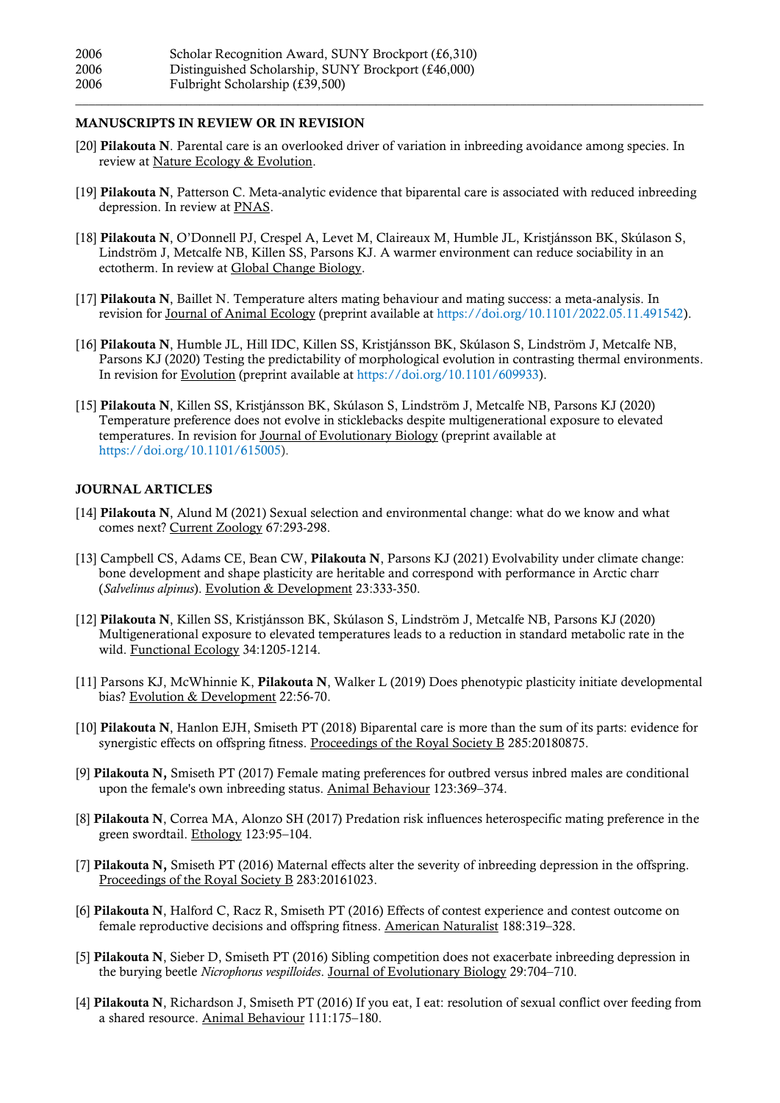## MANUSCRIPTS IN REVIEW OR IN REVISION

[20] Pilakouta N. Parental care is an overlooked driver of variation in inbreeding avoidance among species. In review at Nature Ecology & Evolution.

\_\_\_\_\_\_\_\_\_\_\_\_\_\_\_\_\_\_\_\_\_\_\_\_\_\_\_\_\_\_\_\_\_\_\_\_\_\_\_\_\_\_\_\_\_\_\_\_\_\_\_\_\_\_\_\_\_\_\_\_\_\_\_\_\_\_\_\_\_\_\_\_\_\_\_\_\_\_\_\_\_\_\_\_\_\_\_\_\_\_\_\_\_\_\_\_

- [19] Pilakouta N, Patterson C. Meta-analytic evidence that biparental care is associated with reduced inbreeding depression. In review at PNAS.
- [18] Pilakouta N, O'Donnell PJ, Crespel A, Levet M, Claireaux M, Humble JL, Kristjánsson BK, Skúlason S, Lindström J, Metcalfe NB, Killen SS, Parsons KJ. A warmer environment can reduce sociability in an ectotherm. In review at Global Change Biology.
- [17] Pilakouta N, Baillet N. Temperature alters mating behaviour and mating success: a meta-analysis. In revision for Journal of Animal Ecology (preprint available at https://doi.org/10.1101/2022.05.11.491542).
- [16] Pilakouta N, Humble JL, Hill IDC, Killen SS, Kristjánsson BK, Skúlason S, Lindström J, Metcalfe NB, Parsons KJ (2020) Testing the predictability of morphological evolution in contrasting thermal environments. In revision for Evolution (preprint available at [https://doi.org/10.1101/609933\)](https://doi.org/10.1101/609933).
- [15] Pilakouta N, Killen SS, Kristjánsson BK, Skúlason S, Lindström J, Metcalfe NB, Parsons KJ (2020) Temperature preference does not evolve in sticklebacks despite multigenerational exposure to elevated temperatures. In revision for Journal of Evolutionary Biology (preprint available at [https://doi.org/10.1101/615005\)](https://doi.org/10.1101/615005).

#### JOURNAL ARTICLES

- [14] Pilakouta N, Alund M (2021) Sexual selection and environmental change: what do we know and what comes next? Current Zoology 67:293-298.
- [13] Campbell CS, Adams CE, Bean CW, Pilakouta N, Parsons KJ (2021) Evolvability under climate change: bone development and shape plasticity are heritable and correspond with performance in Arctic charr (*Salvelinus alpinus*). Evolution & Development 23:333-350.
- [12] Pilakouta N, Killen SS, Kristjánsson BK, Skúlason S, Lindström J, Metcalfe NB, Parsons KJ (2020) Multigenerational exposure to elevated temperatures leads to a reduction in standard metabolic rate in the wild. Functional Ecology 34:1205-1214.
- [11] Parsons KJ, McWhinnie K, Pilakouta N, Walker L (2019) Does phenotypic plasticity initiate developmental bias? Evolution & Development 22:56-70.
- [10] Pilakouta N, Hanlon EJH, Smiseth PT (2018) Biparental care is more than the sum of its parts: evidence for synergistic effects on offspring fitness. Proceedings of the Royal Society B 285:20180875.
- [9] Pilakouta N, Smiseth PT (2017) Female mating preferences for outbred versus inbred males are conditional upon the female's own inbreeding status. Animal Behaviour 123:369–374.
- [8] Pilakouta N, Correa MA, Alonzo SH (2017) Predation risk influences heterospecific mating preference in the green swordtail. Ethology 123:95–104.
- [7] Pilakouta N, Smiseth PT (2016) Maternal effects alter the severity of inbreeding depression in the offspring. Proceedings of the Royal Society B 283:20161023.
- [6] Pilakouta N, Halford C, Racz R, Smiseth PT (2016) Effects of contest experience and contest outcome on female reproductive decisions and offspring fitness. American Naturalist 188:319–328.
- [5] Pilakouta N, Sieber D, Smiseth PT (2016) Sibling competition does not exacerbate inbreeding depression in the burying beetle *Nicrophorus vespilloides*. Journal of Evolutionary Biology 29:704–710.
- [4] Pilakouta N, Richardson J, Smiseth PT (2016) If you eat, I eat: resolution of sexual conflict over feeding from a shared resource. Animal Behaviour 111:175–180.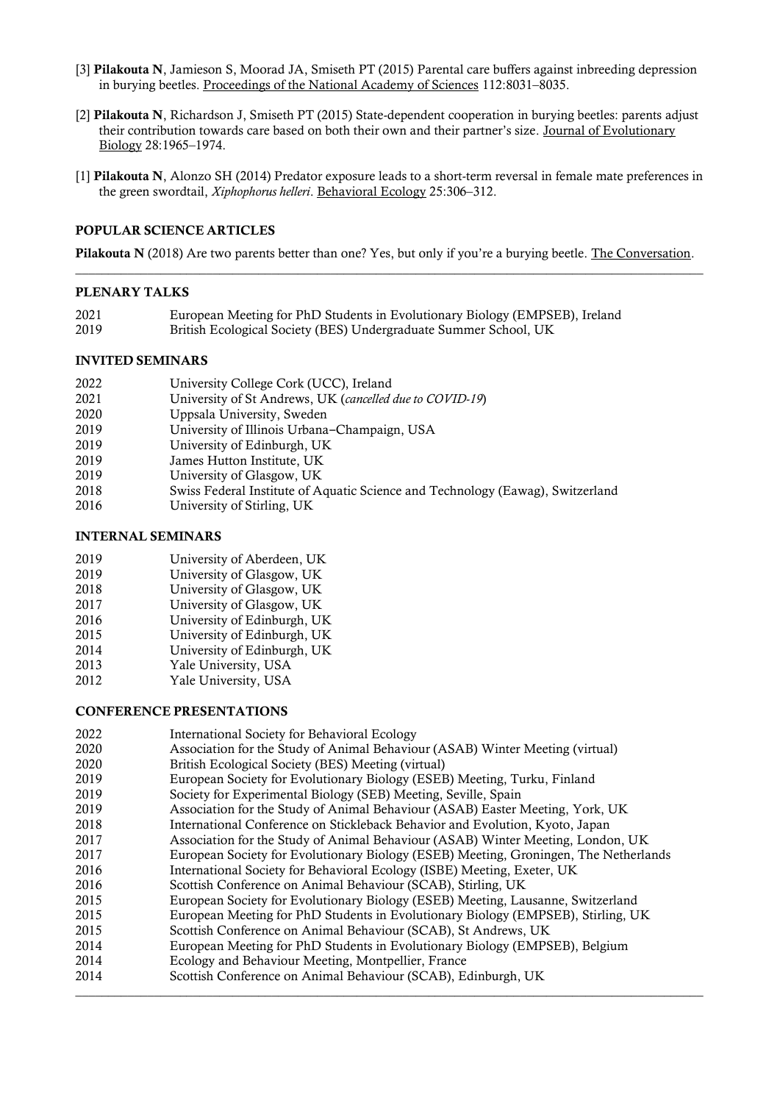- [3] Pilakouta N, Jamieson S, Moorad JA, Smiseth PT (2015) Parental care buffers against inbreeding depression in burying beetles. Proceedings of the National Academy of Sciences 112:8031–8035.
- [2] Pilakouta N, Richardson J, Smiseth PT (2015) State-dependent cooperation in burying beetles: parents adjust their contribution towards care based on both their own and their partner's size. Journal of Evolutionary Biology 28:1965–1974.
- [1] Pilakouta N, Alonzo SH (2014) Predator exposure leads to a short-term reversal in female mate preferences in the green swordtail, *Xiphophorus helleri*. Behavioral Ecology 25:306–312.

#### POPULAR SCIENCE ARTICLES

Pilakouta N (2018) Are two parents better than one? Yes, but only if you're a burying beetle. The Conversation. \_\_\_\_\_\_\_\_\_\_\_\_\_\_\_\_\_\_\_\_\_\_\_\_\_\_\_\_\_\_\_\_\_\_\_\_\_\_\_\_\_\_\_\_\_\_\_\_\_\_\_\_\_\_\_\_\_\_\_\_\_\_\_\_\_\_\_\_\_\_\_\_\_\_\_\_\_\_\_\_\_\_\_\_\_\_\_\_\_\_\_\_\_\_\_\_

#### PLENARY TALKS

- European Meeting for PhD Students in Evolutionary Biology (EMPSEB), Ireland
- British Ecological Society (BES) Undergraduate Summer School, UK

#### INVITED SEMINARS

| 2022 |  | University College Cork (UCC), Ireland |
|------|--|----------------------------------------|
|      |  |                                        |

- University of St Andrews, UK (*cancelled due to COVID-19*)
- Uppsala University, Sweden
- 2019 University of Illinois Urbana–Champaign, USA
- University of Edinburgh, UK
- James Hutton Institute, UK
- 2019 **12019** University of Glasgow, UK<br>2018 **12018** Swiss Federal Institute of A
- Swiss Federal Institute of Aquatic Science and Technology (Eawag), Switzerland
- University of Stirling, UK

## INTERNAL SEMINARS

- University of Aberdeen, UK
- University of Glasgow, UK
- University of Glasgow, UK
- University of Glasgow, UK
- University of Edinburgh, UK
- University of Edinburgh, UK
- University of Edinburgh, UK
- Yale University, USA
- Yale University, USA

# CONFERENCE PRESENTATIONS

- International Society for Behavioral Ecology
- Association for the Study of Animal Behaviour (ASAB) Winter Meeting (virtual)
- British Ecological Society (BES) Meeting (virtual)
- European Society for Evolutionary Biology (ESEB) Meeting, Turku, Finland
- Society for Experimental Biology (SEB) Meeting, Seville, Spain
- Association for the Study of Animal Behaviour (ASAB) Easter Meeting, York, UK
- International Conference on Stickleback Behavior and Evolution, Kyoto, Japan
- Association for the Study of Animal Behaviour (ASAB) Winter Meeting, London, UK
- European Society for Evolutionary Biology (ESEB) Meeting, Groningen, The Netherlands
- International Society for Behavioral Ecology (ISBE) Meeting, Exeter, UK
- Scottish Conference on Animal Behaviour (SCAB), Stirling, UK
- European Society for Evolutionary Biology (ESEB) Meeting, Lausanne, Switzerland
- European Meeting for PhD Students in Evolutionary Biology (EMPSEB), Stirling, UK
- Scottish Conference on Animal Behaviour (SCAB), St Andrews, UK
- European Meeting for PhD Students in Evolutionary Biology (EMPSEB), Belgium
- Ecology and Behaviour Meeting, Montpellier, France
- Scottish Conference on Animal Behaviour (SCAB), Edinburgh, UK \_\_\_\_\_\_\_\_\_\_\_\_\_\_\_\_\_\_\_\_\_\_\_\_\_\_\_\_\_\_\_\_\_\_\_\_\_\_\_\_\_\_\_\_\_\_\_\_\_\_\_\_\_\_\_\_\_\_\_\_\_\_\_\_\_\_\_\_\_\_\_\_\_\_\_\_\_\_\_\_\_\_\_\_\_\_\_\_\_\_\_\_\_\_\_\_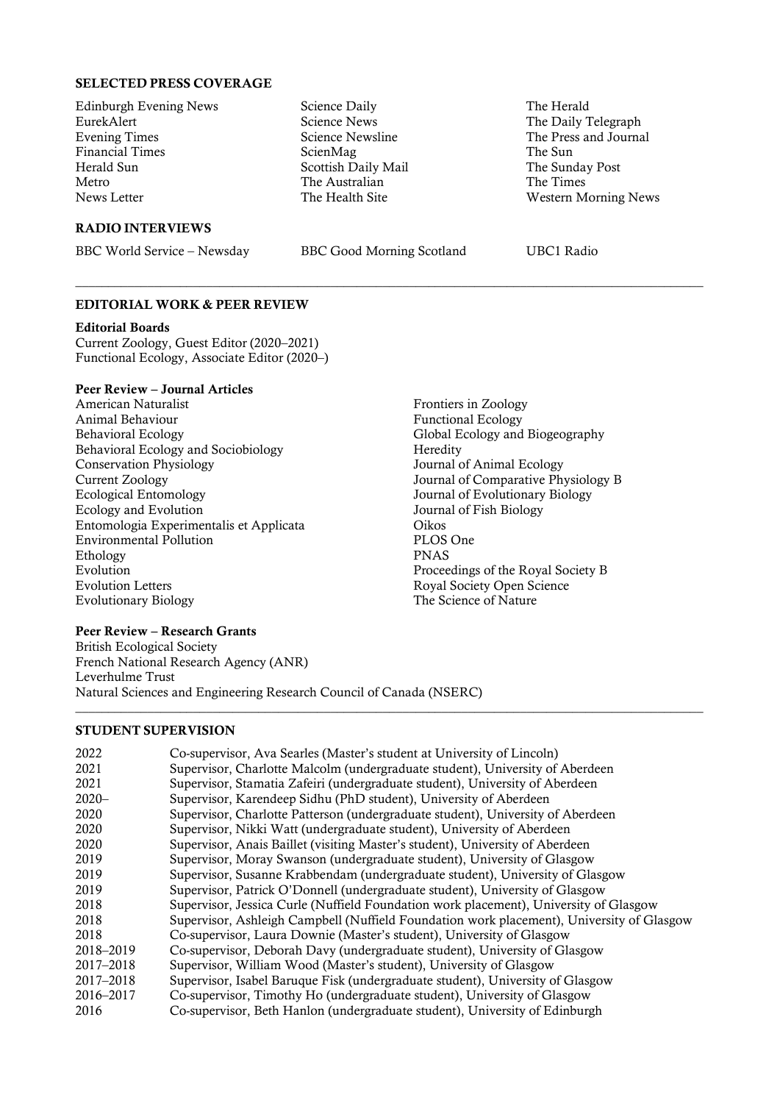#### SELECTED PRESS COVERAGE

Edinburgh Evening News EurekAlert Evening Times Financial Times Herald Sun Metro News Letter

## RADIO INTERVIEWS

BBC World Service – Newsday BBC Good Morning Scotland UBC1 Radio

\_\_\_\_\_\_\_\_\_\_\_\_\_\_\_\_\_\_\_\_\_\_\_\_\_\_\_\_\_\_\_\_\_\_\_\_\_\_\_\_\_\_\_\_\_\_\_\_\_\_\_\_\_\_\_\_\_\_\_\_\_\_\_\_\_\_\_\_\_\_\_\_\_\_\_\_\_\_\_\_\_\_\_\_\_\_\_\_\_\_\_\_\_\_\_\_

Science Daily Science News Science Newsline ScienMag

Scottish Daily Mail The Australian The Health Site

The Herald

The Sun

The Daily Telegraph The Press and Journal

Western Morning News

The Sunday Post The Times

## EDITORIAL WORK & PEER REVIEW

#### Editorial Boards

Current Zoology, Guest Editor (2020–2021) Functional Ecology, Associate Editor (2020–)

## Peer Review – Journal Articles

- American Naturalist Animal Behaviour Behavioral Ecology Behavioral Ecology and Sociobiology Conservation Physiology Current Zoology Ecological Entomology Ecology and Evolution Entomologia Experimentalis et Applicata Environmental Pollution Ethology Evolution Evolution Letters Evolutionary Biology
- Frontiers in Zoology Functional Ecology Global Ecology and Biogeography **Heredity** Journal of Animal Ecology Journal of Comparative Physiology B Journal of Evolutionary Biology Journal of Fish Biology Oikos PLOS One PNAS Proceedings of the Royal Society B Royal Society Open Science The Science of Nature

#### Peer Review – Research Grants

British Ecological Society French National Research Agency (ANR) Leverhulme Trust Natural Sciences and Engineering Research Council of Canada (NSERC)

#### STUDENT SUPERVISION

| 2022      | Co-supervisor, Ava Searles (Master's student at University of Lincoln)                    |
|-----------|-------------------------------------------------------------------------------------------|
| 2021      | Supervisor, Charlotte Malcolm (undergraduate student), University of Aberdeen             |
| 2021      | Supervisor, Stamatia Zafeiri (undergraduate student), University of Aberdeen              |
| $2020 -$  | Supervisor, Karendeep Sidhu (PhD student), University of Aberdeen                         |
| 2020      | Supervisor, Charlotte Patterson (undergraduate student), University of Aberdeen           |
| 2020      | Supervisor, Nikki Watt (undergraduate student), University of Aberdeen                    |
| 2020      | Supervisor, Anais Baillet (visiting Master's student), University of Aberdeen             |
| 2019      | Supervisor, Moray Swanson (undergraduate student), University of Glasgow                  |
| 2019      | Supervisor, Susanne Krabbendam (undergraduate student), University of Glasgow             |
| 2019      | Supervisor, Patrick O'Donnell (undergraduate student), University of Glasgow              |
| 2018      | Supervisor, Jessica Curle (Nuffield Foundation work placement), University of Glasgow     |
| 2018      | Supervisor, Ashleigh Campbell (Nuffield Foundation work placement), University of Glasgow |
| 2018      | Co-supervisor, Laura Downie (Master's student), University of Glasgow                     |
| 2018-2019 | Co-supervisor, Deborah Davy (undergraduate student), University of Glasgow                |
| 2017-2018 | Supervisor, William Wood (Master's student), University of Glasgow                        |
| 2017-2018 | Supervisor, Isabel Baruque Fisk (undergraduate student), University of Glasgow            |
| 2016-2017 | Co-supervisor, Timothy Ho (undergraduate student), University of Glasgow                  |
| 2016      | Co-supervisor, Beth Hanlon (undergraduate student), University of Edinburgh               |

\_\_\_\_\_\_\_\_\_\_\_\_\_\_\_\_\_\_\_\_\_\_\_\_\_\_\_\_\_\_\_\_\_\_\_\_\_\_\_\_\_\_\_\_\_\_\_\_\_\_\_\_\_\_\_\_\_\_\_\_\_\_\_\_\_\_\_\_\_\_\_\_\_\_\_\_\_\_\_\_\_\_\_\_\_\_\_\_\_\_\_\_\_\_\_\_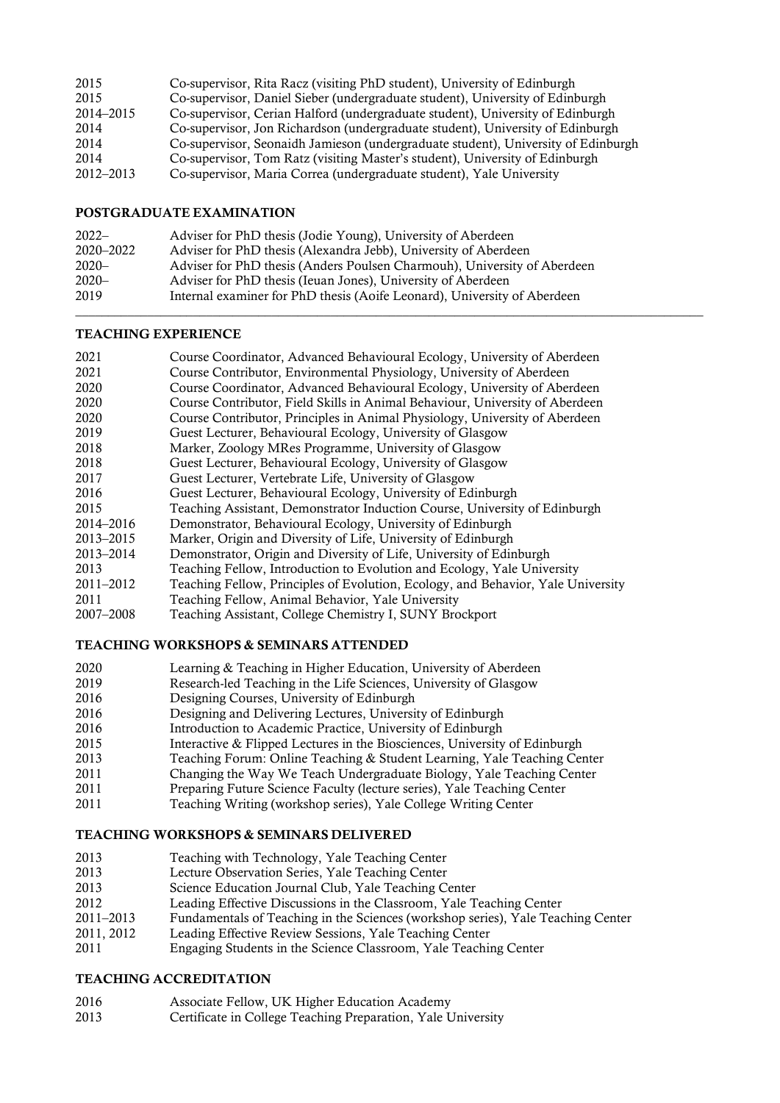| 2015      | Co-supervisor, Rita Racz (visiting PhD student), University of Edinburgh          |
|-----------|-----------------------------------------------------------------------------------|
| 2015      | Co-supervisor, Daniel Sieber (undergraduate student), University of Edinburgh     |
| 2014–2015 | Co-supervisor, Cerian Halford (undergraduate student), University of Edinburgh    |
| 2014      | Co-supervisor, Jon Richardson (undergraduate student), University of Edinburgh    |
| 2014      | Co-supervisor, Seonaidh Jamieson (undergraduate student), University of Edinburgh |
| 2014      | Co-supervisor, Tom Ratz (visiting Master's student), University of Edinburgh      |
| 2012–2013 | Co-supervisor, Maria Correa (undergraduate student), Yale University              |

## POSTGRADUATE EXAMINATION

| $2022-$   | Adviser for PhD thesis (Jodie Young), University of Aberdeen             |
|-----------|--------------------------------------------------------------------------|
| 2020–2022 | Adviser for PhD thesis (Alexandra Jebb), University of Aberdeen          |
| $2020 -$  | Adviser for PhD thesis (Anders Poulsen Charmouh), University of Aberdeen |
| $2020 -$  | Adviser for PhD thesis (Ieuan Jones), University of Aberdeen             |
| 2019      | Internal examiner for PhD thesis (Aoife Leonard), University of Aberdeen |
|           |                                                                          |

## TEACHING EXPERIENCE

| 2021          | Course Coordinator, Advanced Behavioural Ecology, University of Aberdeen         |
|---------------|----------------------------------------------------------------------------------|
| 2021          | Course Contributor, Environmental Physiology, University of Aberdeen             |
| 2020          | Course Coordinator, Advanced Behavioural Ecology, University of Aberdeen         |
| 2020          | Course Contributor, Field Skills in Animal Behaviour, University of Aberdeen     |
| 2020          | Course Contributor, Principles in Animal Physiology, University of Aberdeen      |
| 2019          | Guest Lecturer, Behavioural Ecology, University of Glasgow                       |
| 2018          | Marker, Zoology MRes Programme, University of Glasgow                            |
| 2018          | Guest Lecturer, Behavioural Ecology, University of Glasgow                       |
| 2017          | Guest Lecturer, Vertebrate Life, University of Glasgow                           |
| 2016          | Guest Lecturer, Behavioural Ecology, University of Edinburgh                     |
| 2015          | Teaching Assistant, Demonstrator Induction Course, University of Edinburgh       |
| 2014–2016     | Demonstrator, Behavioural Ecology, University of Edinburgh                       |
| 2013-2015     | Marker, Origin and Diversity of Life, University of Edinburgh                    |
| 2013-2014     | Demonstrator, Origin and Diversity of Life, University of Edinburgh              |
| 2013          | Teaching Fellow, Introduction to Evolution and Ecology, Yale University          |
| $2011 - 2012$ | Teaching Fellow, Principles of Evolution, Ecology, and Behavior, Yale University |
| 2011          | Teaching Fellow, Animal Behavior, Yale University                                |
| 2007-2008     | Teaching Assistant, College Chemistry I, SUNY Brockport                          |

# TEACHING WORKSHOPS & SEMINARS ATTENDED

| 2020 | Learning & Teaching in Higher Education, University of Aberdeen            |
|------|----------------------------------------------------------------------------|
| 2019 | Research-led Teaching in the Life Sciences, University of Glasgow          |
| 2016 | Designing Courses, University of Edinburgh                                 |
| 2016 | Designing and Delivering Lectures, University of Edinburgh                 |
| 2016 | Introduction to Academic Practice, University of Edinburgh                 |
| 2015 | Interactive & Flipped Lectures in the Biosciences, University of Edinburgh |
| 2013 | Teaching Forum: Online Teaching & Student Learning, Yale Teaching Center   |
| 2011 | Changing the Way We Teach Undergraduate Biology, Yale Teaching Center      |

- 
- 2011 Preparing Future Science Faculty (lecture series), Yale Teaching Center<br>2011 Teaching Writing (workshop series), Yale College Writing Center Teaching Writing (workshop series), Yale College Writing Center

# TEACHING WORKSHOPS & SEMINARS DELIVERED

- 2013 Teaching with Technology, Yale Teaching Center<br>2013 Lecture Observation Series. Yale Teaching Center
- Lecture Observation Series, Yale Teaching Center
- Science Education Journal Club, Yale Teaching Center
- 2012 Leading Effective Discussions in the Classroom, Yale Teaching Center<br>2011–2013 Fundamentals of Teaching in the Sciences (workshop series), Yale Teach
- Fundamentals of Teaching in the Sciences (workshop series), Yale Teaching Center
- 2011, 2012 Leading Effective Review Sessions, Yale Teaching Center
- Engaging Students in the Science Classroom, Yale Teaching Center

# TEACHING ACCREDITATION

- Associate Fellow, UK Higher Education Academy
- Certificate in College Teaching Preparation, Yale University